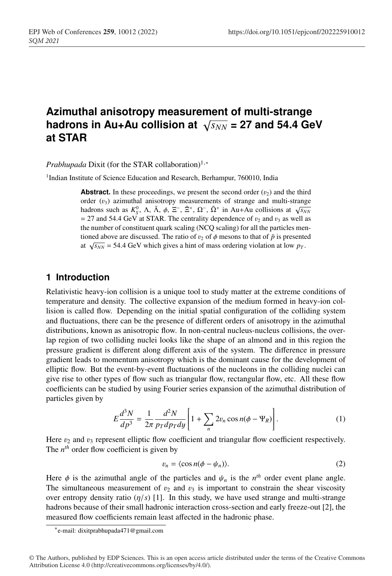# **Azimuthal anisotropy measurement of multi-strange hadrons in Au+Au collision at**  $\sqrt{s_{NN}}$  = 27 and 54.4 GeV **at STAR**

*Prabhupada* Dixit (for the STAR collaboration)<sup>1,∗</sup>

<sup>1</sup>Indian Institute of Science Education and Research, Berhampur, 760010, India

**Abstract.** In these proceedings, we present the second order  $(v_2)$  and the third order  $(v_3)$  azimuthal anisotropy measurements of strange and multi-strange hadrons such as  $K_S^0$ ,  $\Lambda$ ,  $\bar{\Lambda}$ ,  $\phi$ ,  $\Xi^-$ ,  $\bar{\Xi}^+$ ,  $\Omega^-$ ,  $\bar{\Omega}^+$  in Au+Au collisions at  $\sqrt{s_{NN}}$  $= 27$  and 54.4 GeV at STAR. The centrality dependence of  $v_2$  and  $v_3$  as well as the number of constituent quark scaling (NCQ scaling) for all the particles mentioned above are discussed. The ratio of  $v_2$  of  $\phi$  mesons to that of  $\bar{p}$  is presented at  $\sqrt{s_{NN}}$  = 54.4 GeV which gives a hint of mass ordering violation at low  $p_T$ .

## **1 Introduction**

Relativistic heavy-ion collision is a unique tool to study matter at the extreme conditions of temperature and density. The collective expansion of the medium formed in heavy-ion collision is called flow. Depending on the initial spatial configuration of the colliding system and fluctuations, there can be the presence of different orders of anisotropy in the azimuthal distributions, known as anisotropic flow. In non-central nucleus-nucleus collisions, the overlap region of two colliding nuclei looks like the shape of an almond and in this region the pressure gradient is different along different axis of the system. The difference in pressure gradient leads to momentum anisotropy which is the dominant cause for the development of elliptic flow. But the event-by-event fluctuations of the nucleons in the colliding nuclei can give rise to other types of flow such as triangular flow, rectangular flow, etc. All these flow coefficients can be studied by using Fourier series expansion of the azimuthal distribution of particles given by

$$
E\frac{d^3N}{dp^3} = \frac{1}{2\pi} \frac{d^2N}{p_T dp_T dy} \left[1 + \sum_n 2v_n \cos n(\phi - \Psi_R)\right].
$$
 (1)

Here  $v_2$  and  $v_3$  represent elliptic flow coefficient and triangular flow coefficient respectively. The *nth* order flow coefficient is given by

$$
v_n = \langle \cos n(\phi - \psi_n) \rangle. \tag{2}
$$

Here  $\phi$  is the azimuthal angle of the particles and  $\psi_n$  is the  $n^{th}$  order event plane angle. The simultaneous measurement of  $v_2$  and  $v_3$  is important to constrain the shear viscosity over entropy density ratio  $(\eta/s)$  [1]. In this study, we have used strange and multi-strange hadrons because of their small hadronic interaction cross-section and early freeze-out [2], the measured flow coefficients remain least affected in the hadronic phase.

<sup>∗</sup>e-mail: dixitprabhupada471@gmail.com

<sup>©</sup> The Authors, published by EDP Sciences. This is an open access article distributed under the terms of the Creative Commons Attribution License 4.0 (http://creativecommons.org/licenses/by/4.0/).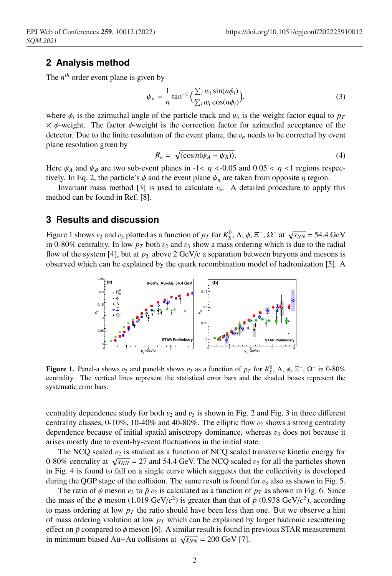### **2 Analysis method**

The  $n^{th}$  order event plane is given by

$$
\psi_n = \frac{1}{n} \tan^{-1} \left( \frac{\sum_i w_i \sin(n\phi_i)}{\sum_i w_i \cos(n\phi_i)} \right),\tag{3}
$$

where  $\phi_i$  is the azimuthal angle of the particle track and  $w_i$  is the weight factor equal to  $p_T$  $\times \phi$ -weight. The factor  $\phi$ -weight is the correction factor for azimuthal acceptance of the detector. Due to the finite resolution of the event plane, the  $v_n$  needs to be corrected by event plane resolution given by

$$
R_n = \sqrt{\langle \cos n(\psi_A - \psi_B) \rangle}.
$$
 (4)

Here  $\psi_A$  and  $\psi_B$  are two sub-event planes in -1<  $\eta$  <-0.05 and 0.05 <  $\eta$  <1 regions respectively. In Eq. 2, the particle's  $\phi$  and the event plane  $\psi_n$  are taken from opposite  $\eta$  region.

Invariant mass method [3] is used to calculate  $v_n$ . A detailed procedure to apply this method can be found in Ref. [8].

#### **3 Results and discussion**

Figure 1 shows  $v_2$  and  $v_3$  plotted as a function of  $p_T$  for  $K_S^0$ ,  $\Lambda$ ,  $\phi$ ,  $\Xi^-$ ,  $\Omega^-$  at  $\sqrt{s_{NN}}$  = 54.4 GeV in 0-80% centrality. In low  $p<sub>T</sub>$  both  $v<sub>2</sub>$  and  $v<sub>3</sub>$  show a mass ordering which is due to the radial flow of the system [4], but at  $p<sub>T</sub>$  above 2 GeV/c a separation between baryons and mesons is observed which can be explained by the quark recombination model of hadronization [5]. A



Figure 1. Panel-a shows  $v_2$  and panel-b shows  $v_3$  as a function of  $p_T$  for  $K_S^0$ ,  $\Lambda$ ,  $\phi$ ,  $\Xi^-$ ,  $\Omega^-$  in 0-80% centrality. The vertical lines represent the statistical error bars and the shaded boxes represent the systematic error bars.

centrality dependence study for both  $v_2$  and  $v_3$  is shown in Fig. 2 and Fig. 3 in three different centrality classes,  $0-10\%$ ,  $10-40\%$  and  $40-80\%$ . The elliptic flow  $v_2$  shows a strong centrality dependence because of initial spatial anisotropy dominance, whereas  $v_3$  does not because it arises mostly due to event-by-event fluctuations in the initial state.

The NCQ scaled  $v_2$  is studied as a function of NCQ scaled transverse kinetic energy for 0-80% centrality at  $\sqrt{s_{NN}}$  = 27 and 54.4 GeV. The NCQ scaled  $v_2$  for all the particles shown in Fig. 4 is found to fall on a single curve which suggests that the collectivity is developed during the QGP stage of the collision. The same result is found for  $v_3$  also as shown in Fig. 5.

The ratio of  $\phi$  meson  $v_2$  to  $\bar{p}$   $v_2$  is calculated as a function of  $p_T$  as shown in Fig. 6. Since the mass of the  $\phi$  meson (1.019 GeV/ $c^2$ ) is greater than that of  $\bar{p}$  (0.938 GeV/ $c^2$ ), according to mass ordering at low  $p<sub>T</sub>$  the ratio should have been less than one. But we observe a hint of mass ordering violation at low  $p<sub>T</sub>$  which can be explained by larger hadronic rescattering effect on  $\bar{p}$  compared to  $\phi$  meson [6]. A similar result is found in previous STAR measurement in minimum biased Au+Au collisions at  $\sqrt{s_{NN}}$  = 200 GeV [7].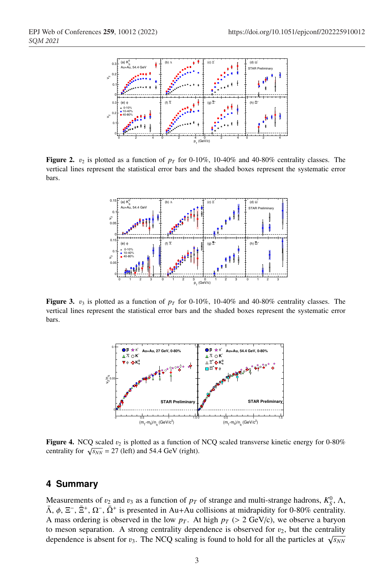

**Figure 2.**  $v_2$  is plotted as a function of  $p_T$  for 0-10%, 10-40% and 40-80% centrality classes. The vertical lines represent the statistical error bars and the shaded boxes represent the systematic error bars.



Figure 3.  $v_3$  is plotted as a function of  $p_T$  for 0-10%, 10-40% and 40-80% centrality classes. The vertical lines represent the statistical error bars and the shaded boxes represent the systematic error bars.



**Figure 4.** NCQ scaled  $v_2$  is plotted as a function of NCQ scaled transverse kinetic energy for 0-80% centrality for  $\sqrt{s_{NN}}$  = 27 (left) and 54.4 GeV (right).

#### **4 Summary**

Measurements of  $v_2$  and  $v_3$  as a function of  $p_T$  of strange and multi-strange hadrons,  $K_S^0$ ,  $\Lambda$ ,  $\bar{\Lambda}$ ,  $\phi$ ,  $\Xi^-$ ,  $\bar{\Xi}^+$ ,  $\Omega^-$ ,  $\bar{\Omega}^+$  is presented in Au+Au collisions at midrapidity for 0-80% centrality. A mass ordering is observed in the low  $p<sub>T</sub>$ . At high  $p<sub>T</sub>$  (> 2 GeV/c), we observe a baryon to meson separation. A strong centrality dependence is observed for  $v_2$ , but the centrality dependence is absent for  $v_3$ . The NCQ scaling is found to hold for all the particles at  $\sqrt{s_{NN}}$